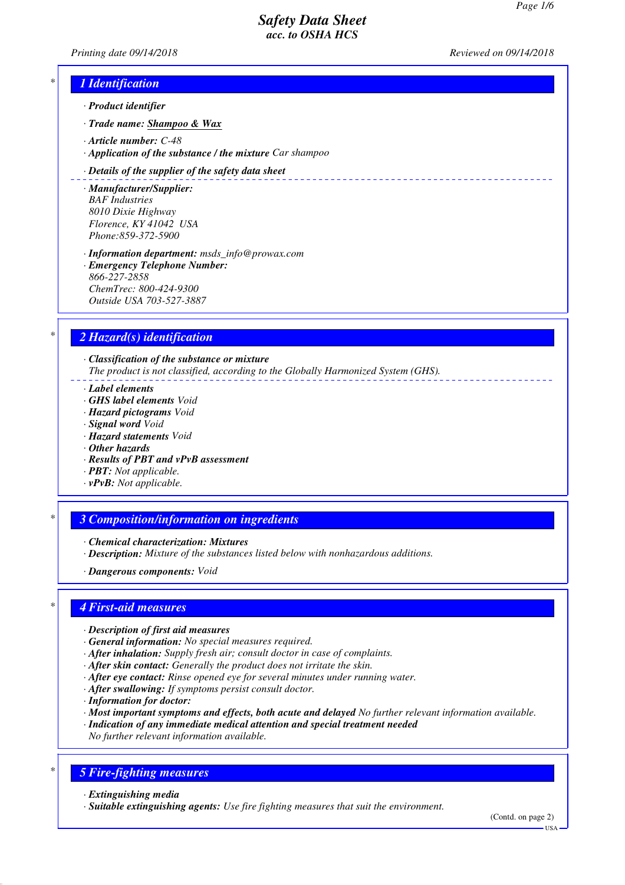\_\_\_\_\_\_\_\_\_\_\_\_\_\_

*Printing date 09/14/2018 Reviewed on 09/14/2018*

## *\* 1 Identification*

- *· Product identifier*
- *· Trade name: Shampoo & Wax*
- *· Article number: C-48*
- *· Application of the substance / the mixture Car shampoo*

#### *· Details of the supplier of the safety data sheet*

- *· Manufacturer/Supplier: BAF Industries 8010 Dixie Highway Florence, KY 41042 USA Phone:859-372-5900*
- *· Information department: msds\_info@prowax.com · Emergency Telephone Number: 866-227-2858 ChemTrec: 800-424-9300 Outside USA 703-527-3887*

### *\* 2 Hazard(s) identification*

*· Classification of the substance or mixture*

*The product is not classified, according to the Globally Harmonized System (GHS).*

- *· Label elements*
- *· GHS label elements Void*
- *· Hazard pictograms Void*
- *· Signal word Void*
- *· Hazard statements Void*
- *· Other hazards*
- *· Results of PBT and vPvB assessment*
- *· PBT: Not applicable.*
- *· vPvB: Not applicable.*

### *\* 3 Composition/information on ingredients*

- *· Chemical characterization: Mixtures*
- *· Description: Mixture of the substances listed below with nonhazardous additions.*
- *· Dangerous components: Void*

### *\* 4 First-aid measures*

- *· Description of first aid measures*
- *· General information: No special measures required.*
- *· After inhalation: Supply fresh air; consult doctor in case of complaints.*
- *· After skin contact: Generally the product does not irritate the skin.*
- *· After eye contact: Rinse opened eye for several minutes under running water.*
- *· After swallowing: If symptoms persist consult doctor.*
- *· Information for doctor:*
- *· Most important symptoms and effects, both acute and delayed No further relevant information available.*
- *· Indication of any immediate medical attention and special treatment needed*
- *No further relevant information available.*

### *\* 5 Fire-fighting measures*

- *· Extinguishing media*
- *· Suitable extinguishing agents: Use fire fighting measures that suit the environment.*

(Contd. on page 2)

 $-1$ ISA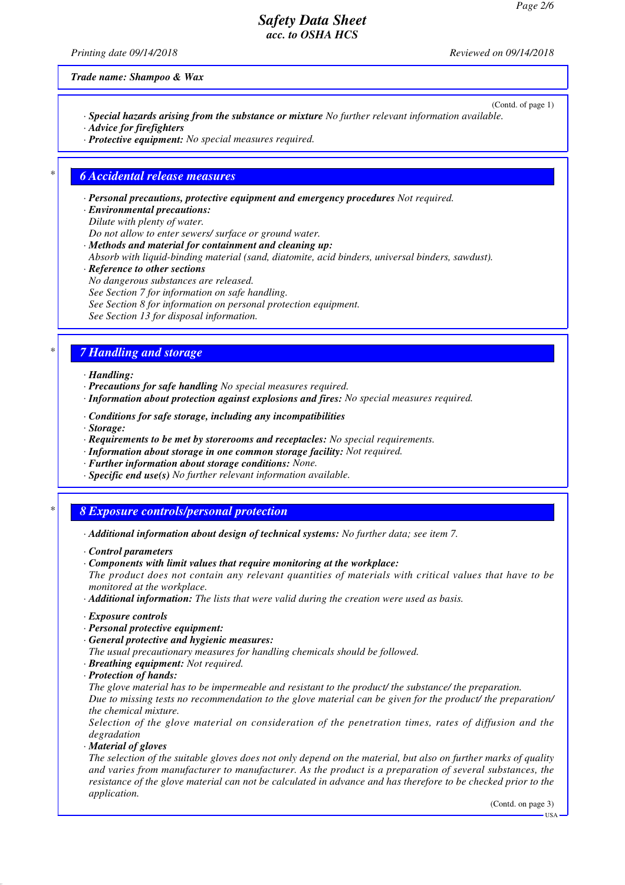*Printing date 09/14/2018 Reviewed on 09/14/2018*

*Trade name: Shampoo & Wax*

- (Contd. of page 1) *· Special hazards arising from the substance or mixture No further relevant information available. · Advice for firefighters*
- *· Protective equipment: No special measures required.*

### *\* 6 Accidental release measures*

*· Personal precautions, protective equipment and emergency procedures Not required.*

- *· Environmental precautions: Dilute with plenty of water.*
- 
- *Do not allow to enter sewers/ surface or ground water. · Methods and material for containment and cleaning up:*
- *Absorb with liquid-binding material (sand, diatomite, acid binders, universal binders, sawdust).*
- *· Reference to other sections*
- *No dangerous substances are released.*
- *See Section 7 for information on safe handling.*
- *See Section 8 for information on personal protection equipment.*
- *See Section 13 for disposal information.*

## *\* 7 Handling and storage*

- *· Handling:*
- *· Precautions for safe handling No special measures required.*
- *· Information about protection against explosions and fires: No special measures required.*
- *· Conditions for safe storage, including any incompatibilities*
- *· Storage:*
- *· Requirements to be met by storerooms and receptacles: No special requirements.*
- *· Information about storage in one common storage facility: Not required.*
- *· Further information about storage conditions: None.*
- *· Specific end use(s) No further relevant information available.*

## *\* 8 Exposure controls/personal protection*

- *· Additional information about design of technical systems: No further data; see item 7.*
- *· Control parameters*
- *· Components with limit values that require monitoring at the workplace:*
- *The product does not contain any relevant quantities of materials with critical values that have to be monitored at the workplace.*
- *· Additional information: The lists that were valid during the creation were used as basis.*
- *· Exposure controls*
- *· Personal protective equipment:*
- *· General protective and hygienic measures:*
- *The usual precautionary measures for handling chemicals should be followed.*
- *· Breathing equipment: Not required.*
- *· Protection of hands:*
- *The glove material has to be impermeable and resistant to the product/ the substance/ the preparation.*

*Due to missing tests no recommendation to the glove material can be given for the product/ the preparation/ the chemical mixture.*

*Selection of the glove material on consideration of the penetration times, rates of diffusion and the degradation*

*· Material of gloves*

*The selection of the suitable gloves does not only depend on the material, but also on further marks of quality and varies from manufacturer to manufacturer. As the product is a preparation of several substances, the resistance of the glove material can not be calculated in advance and has therefore to be checked prior to the application.*

(Contd. on page 3)

USA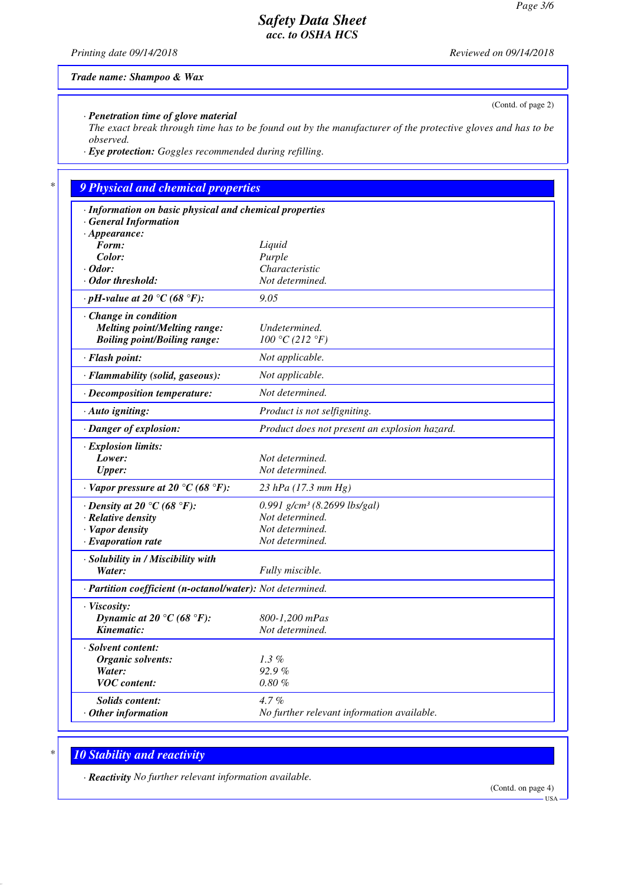(Contd. of page 2)

# *Safety Data Sheet acc. to OSHA HCS*

*Printing date 09/14/2018 Reviewed on 09/14/2018*

*Trade name: Shampoo & Wax*

*· Penetration time of glove material*

*The exact break through time has to be found out by the manufacturer of the protective gloves and has to be observed.*

*· Eye protection: Goggles recommended during refilling.*

# *\* 9 Physical and chemical properties*

| · Information on basic physical and chemical properties    |                                               |
|------------------------------------------------------------|-----------------------------------------------|
| · General Information                                      |                                               |
| $\cdot$ Appearance:                                        |                                               |
| Form:                                                      | Liquid                                        |
| Color:                                                     | Purple                                        |
| $\cdot$ Odor:                                              | Characteristic                                |
| · Odor threshold:                                          | Not determined.                               |
| $\cdot$ pH-value at 20 °C (68 °F):                         | 9.05                                          |
| Change in condition                                        |                                               |
| <b>Melting point/Melting range:</b>                        | Undetermined.                                 |
| <b>Boiling point/Boiling range:</b>                        | 100 °C (212 °F)                               |
| · Flash point:                                             | Not applicable.                               |
| · Flammability (solid, gaseous):                           | Not applicable.                               |
| · Decomposition temperature:                               | Not determined.                               |
| $\cdot$ Auto igniting:                                     | Product is not selfigniting.                  |
| · Danger of explosion:                                     | Product does not present an explosion hazard. |
| · Explosion limits:                                        |                                               |
| Lower:                                                     | Not determined.                               |
| Upper:                                                     | Not determined.                               |
| $\cdot$ Vapor pressure at 20 °C (68 °F):                   | 23 hPa (17.3 mm Hg)                           |
| $\cdot$ Density at 20 °C (68 °F):                          | 0.991 $g/cm^3$ (8.2699 lbs/gal)               |
| · Relative density                                         | Not determined.                               |
| · Vapor density                                            | Not determined.                               |
| $\cdot$ Evaporation rate                                   | Not determined.                               |
| · Solubility in / Miscibility with                         |                                               |
| Water:                                                     | Fully miscible.                               |
| · Partition coefficient (n-octanol/water): Not determined. |                                               |
| · Viscosity:                                               |                                               |
| Dynamic at 20 °C (68 °F):                                  | 800-1,200 mPas                                |
| Kinematic:                                                 | Not determined.                               |
| · Solvent content:                                         |                                               |
| Organic solvents:                                          | $1.3\%$                                       |
| Water:                                                     | 92.9%                                         |
| <b>VOC</b> content:                                        | $0.80\%$                                      |
| Solids content:                                            | $4.7\%$                                       |
| $\cdot$ Other information                                  | No further relevant information available.    |
|                                                            |                                               |

# *\* 10 Stability and reactivity*

*· Reactivity No further relevant information available.*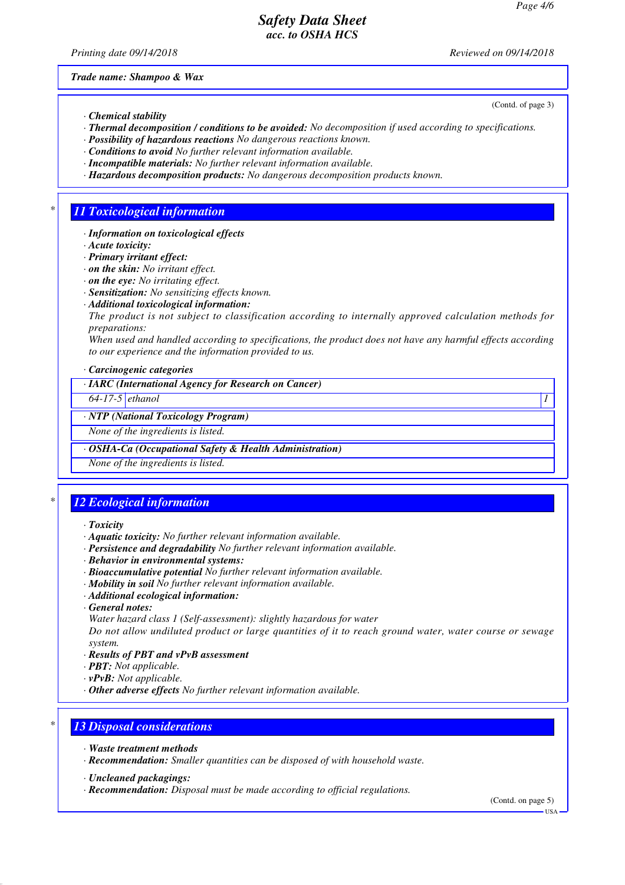*Printing date 09/14/2018 Reviewed on 09/14/2018*

(Contd. of page 3)

*Trade name: Shampoo & Wax*

- *· Chemical stability*
- *· Thermal decomposition / conditions to be avoided: No decomposition if used according to specifications.*
- *· Possibility of hazardous reactions No dangerous reactions known.*
- *· Conditions to avoid No further relevant information available.*
- *· Incompatible materials: No further relevant information available.*
- *· Hazardous decomposition products: No dangerous decomposition products known.*

## *\* 11 Toxicological information*

- *· Information on toxicological effects*
- *· Acute toxicity:*
- *· Primary irritant effect:*
- *· on the skin: No irritant effect.*
- *· on the eye: No irritating effect.*
- *· Sensitization: No sensitizing effects known.*
- *· Additional toxicological information:*
- *The product is not subject to classification according to internally approved calculation methods for preparations:*

*When used and handled according to specifications, the product does not have any harmful effects according to our experience and the information provided to us.*

*· Carcinogenic categories*

*· IARC (International Agency for Research on Cancer)*

*64-17-5 ethanol 1* 

#### *· NTP (National Toxicology Program)*

*None of the ingredients is listed.*

*· OSHA-Ca (Occupational Safety & Health Administration)*

*None of the ingredients is listed.*

# *\* 12 Ecological information*

- *· Toxicity*
- *· Aquatic toxicity: No further relevant information available.*
- *· Persistence and degradability No further relevant information available.*
- *· Behavior in environmental systems:*
- *· Bioaccumulative potential No further relevant information available.*
- *· Mobility in soil No further relevant information available.*
- *· Additional ecological information:*
- *· General notes:*
- *Water hazard class 1 (Self-assessment): slightly hazardous for water*

*Do not allow undiluted product or large quantities of it to reach ground water, water course or sewage system.*

- *· Results of PBT and vPvB assessment*
- *· PBT: Not applicable.*
- *· vPvB: Not applicable.*
- *· Other adverse effects No further relevant information available.*

## *\* 13 Disposal considerations*

- *· Waste treatment methods*
- *· Recommendation: Smaller quantities can be disposed of with household waste.*
- *· Uncleaned packagings:*
- *· Recommendation: Disposal must be made according to official regulations.*

(Contd. on page 5)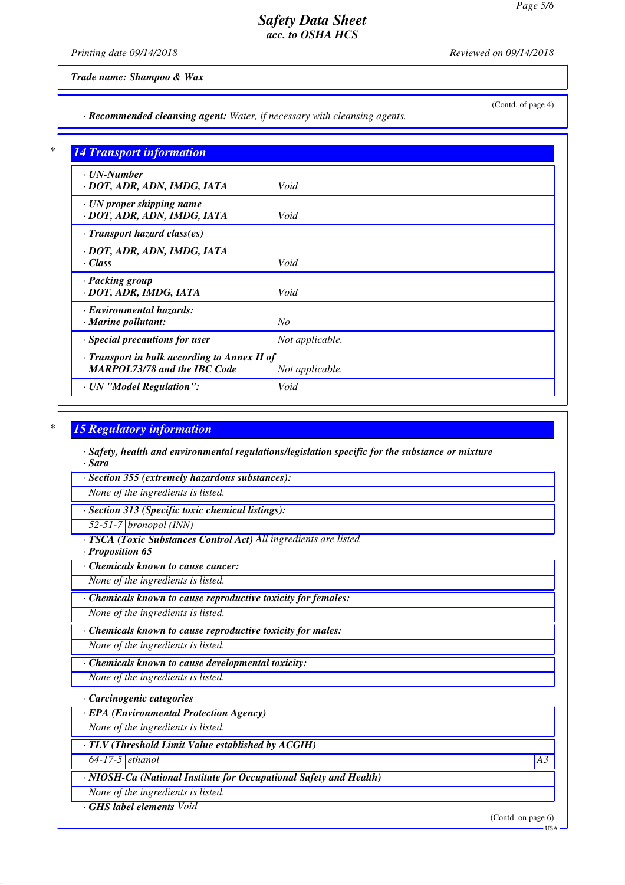*Printing date 09/14/2018 Reviewed on 09/14/2018*

*Trade name: Shampoo & Wax*

(Contd. of page 4)

*· Recommended cleansing agent: Water, if necessary with cleansing agents.*

| $\cdot$ UN-Number                            |                 |
|----------------------------------------------|-----------------|
| · DOT, ADR, ADN, IMDG, IATA                  | Void            |
| · UN proper shipping name                    |                 |
| · DOT, ADR, ADN, IMDG, IATA                  | Void            |
| $\cdot$ Transport hazard class(es)           |                 |
| · DOT, ADR, ADN, IMDG, IATA                  |                 |
| · Class                                      | Void            |
| · Packing group                              |                 |
| · DOT, ADR, IMDG, IATA                       | Void            |
| · Environmental hazards:                     |                 |
| · Marine pollutant:                          | N <sub>O</sub>  |
| · Special precautions for user               | Not applicable. |
| · Transport in bulk according to Annex II of |                 |
| <b>MARPOL73/78 and the IBC Code</b>          | Not applicable. |
| · UN "Model Regulation":                     | Void            |

## *\* 15 Regulatory information*

*· Safety, health and environmental regulations/legislation specific for the substance or mixture · Sara*

*· Section 355 (extremely hazardous substances):*

*None of the ingredients is listed.*

*· Section 313 (Specific toxic chemical listings):*

*52-51-7 bronopol (INN)*

*· TSCA (Toxic Substances Control Act) All ingredients are listed*

*· Proposition 65*

*· Chemicals known to cause cancer:*

*None of the ingredients is listed.*

*· Chemicals known to cause reproductive toxicity for females:*

*None of the ingredients is listed.*

*· Chemicals known to cause reproductive toxicity for males:*

*None of the ingredients is listed.*

*· Chemicals known to cause developmental toxicity:*

*None of the ingredients is listed.*

*· Carcinogenic categories*

*· EPA (Environmental Protection Agency)*

*None of the ingredients is listed.*

*· TLV (Threshold Limit Value established by ACGIH)*

*64-17-5 ethanol A3*

*· NIOSH-Ca (National Institute for Occupational Safety and Health)*

*None of the ingredients is listed.*

*· GHS label elements Void*

(Contd. on page 6)

USA